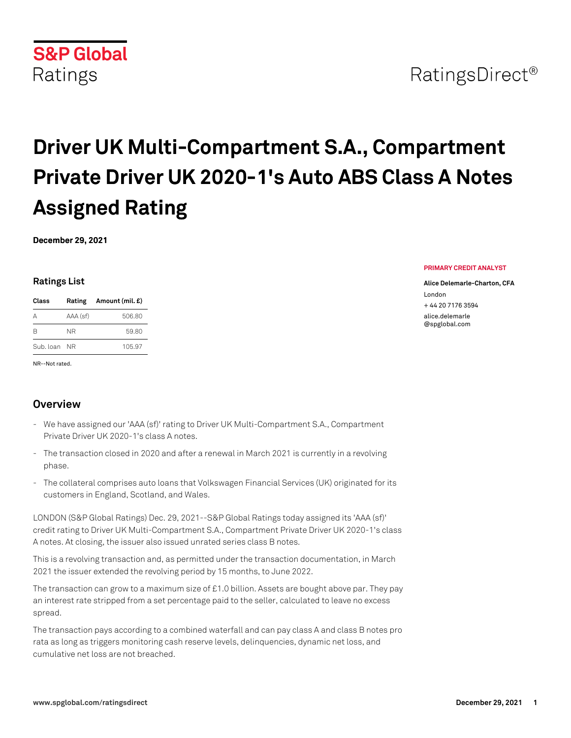

# **Driver UK Multi-Compartment S.A., Compartment Private Driver UK 2020-1's Auto ABS Class A Notes Assigned Rating**

**December 29, 2021**

### **Ratings List**

| Class     |          | Rating Amount (mil. £) |
|-----------|----------|------------------------|
| Δ         | AAA (sf) | 506.80                 |
| R         | NR.      | 59.80                  |
| Sub. Ioan | - NR     | 105.97                 |

NR--Not rated.

# **Overview**

- We have assigned our 'AAA (sf)' rating to Driver UK Multi-Compartment S.A., Compartment Private Driver UK 2020-1's class A notes.
- The transaction closed in 2020 and after a renewal in March 2021 is currently in a revolving phase.
- The collateral comprises auto loans that Volkswagen Financial Services (UK) originated for its customers in England, Scotland, and Wales.

LONDON (S&P Global Ratings) Dec. 29, 2021--S&P Global Ratings today assigned its 'AAA (sf)' credit rating to Driver UK Multi-Compartment S.A., Compartment Private Driver UK 2020-1's class A notes. At closing, the issuer also issued unrated series class B notes.

This is a revolving transaction and, as permitted under the transaction documentation, in March 2021 the issuer extended the revolving period by 15 months, to June 2022.

The transaction can grow to a maximum size of £1.0 billion. Assets are bought above par. They pay an interest rate stripped from a set percentage paid to the seller, calculated to leave no excess spread.

The transaction pays according to a combined waterfall and can pay class A and class B notes pro rata as long as triggers monitoring cash reserve levels, delinquencies, dynamic net loss, and cumulative net loss are not breached.

#### **PRIMARY CREDIT ANALYST**

**Alice Delemarle-Charton, CFA** London

+ 44 20 7176 3594 [alice.delemarle](mailto: alice.delemarle@spglobal.com) [@spglobal.com](mailto: alice.delemarle@spglobal.com)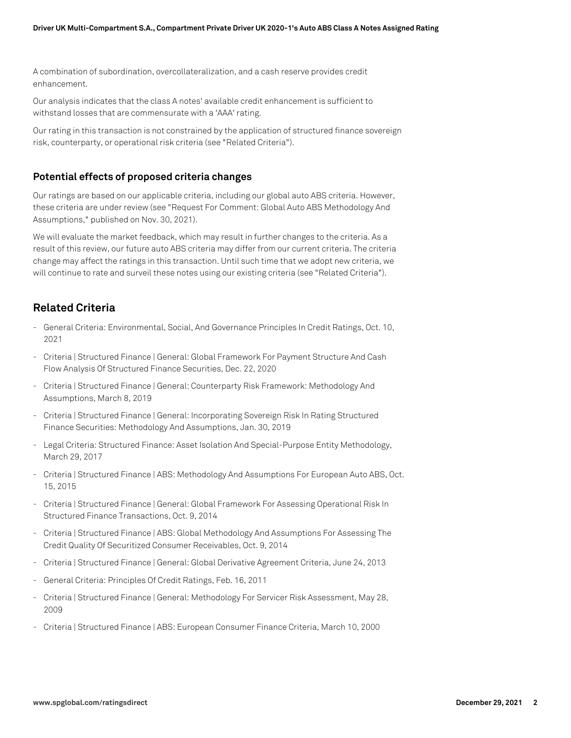A combination of subordination, overcollateralization, and a cash reserve provides credit enhancement.

Our analysis indicates that the class A notes' available credit enhancement is sufficient to withstand losses that are commensurate with a 'AAA' rating.

Our rating in this transaction is not constrained by the application of structured finance sovereign risk, counterparty, or operational risk criteria (see "Related Criteria").

## **Potential effects of proposed criteria changes**

Our ratings are based on our applicable criteria, including our global auto ABS criteria. However, these criteria are under review (see "Request For Comment: Global Auto ABS Methodology And Assumptions," published on Nov. 30, 2021).

We will evaluate the market feedback, which may result in further changes to the criteria. As a result of this review, our future auto ABS criteria may differ from our current criteria. The criteria change may affect the ratings in this transaction. Until such time that we adopt new criteria, we will continue to rate and surveil these notes using our existing criteria (see "Related Criteria").

# **Related Criteria**

- General Criteria: Environmental, Social, And Governance Principles In Credit Ratings, Oct. 10, 2021
- Criteria | Structured Finance | General: Global Framework For Payment Structure And Cash Flow Analysis Of Structured Finance Securities, Dec. 22, 2020
- Criteria | Structured Finance | General: Counterparty Risk Framework: Methodology And Assumptions, March 8, 2019
- Criteria | Structured Finance | General: Incorporating Sovereign Risk In Rating Structured Finance Securities: Methodology And Assumptions, Jan. 30, 2019
- Legal Criteria: Structured Finance: Asset Isolation And Special-Purpose Entity Methodology, March 29, 2017
- Criteria | Structured Finance | ABS: Methodology And Assumptions For European Auto ABS, Oct. 15, 2015
- Criteria | Structured Finance | General: Global Framework For Assessing Operational Risk In Structured Finance Transactions, Oct. 9, 2014
- Criteria | Structured Finance | ABS: Global Methodology And Assumptions For Assessing The Credit Quality Of Securitized Consumer Receivables, Oct. 9, 2014
- Criteria | Structured Finance | General: Global Derivative Agreement Criteria, June 24, 2013
- General Criteria: Principles Of Credit Ratings, Feb. 16, 2011
- Criteria | Structured Finance | General: Methodology For Servicer Risk Assessment, May 28, 2009
- Criteria | Structured Finance | ABS: European Consumer Finance Criteria, March 10, 2000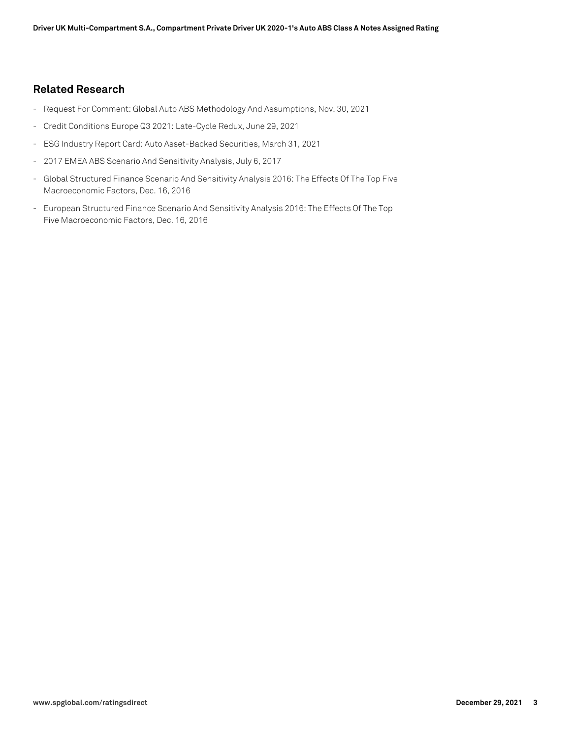## **Related Research**

- Request For Comment: Global Auto ABS Methodology And Assumptions, Nov. 30, 2021
- Credit Conditions Europe Q3 2021: Late-Cycle Redux, June 29, 2021
- ESG Industry Report Card: Auto Asset-Backed Securities, March 31, 2021
- 2017 EMEA ABS Scenario And Sensitivity Analysis, July 6, 2017
- Global Structured Finance Scenario And Sensitivity Analysis 2016: The Effects Of The Top Five Macroeconomic Factors, Dec. 16, 2016
- European Structured Finance Scenario And Sensitivity Analysis 2016: The Effects Of The Top Five Macroeconomic Factors, Dec. 16, 2016